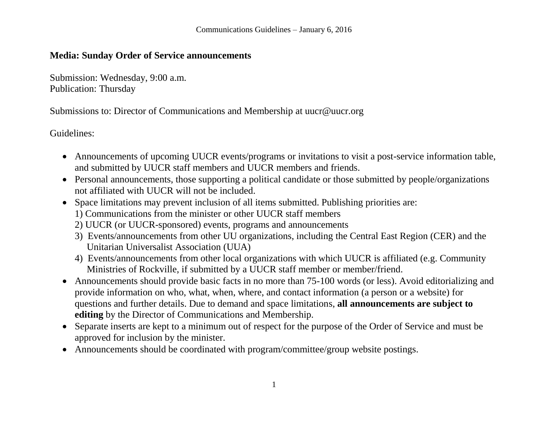## **Media: Sunday Order of Service announcements**

Submission: Wednesday, 9:00 a.m. Publication: Thursday

Submissions to: Director of Communications and Membership at uucr@uucr.org

- Announcements of upcoming UUCR events/programs or invitations to visit a post-service information table, and submitted by UUCR staff members and UUCR members and friends.
- Personal announcements, those supporting a political candidate or those submitted by people/organizations not affiliated with UUCR will not be included.
- Space limitations may prevent inclusion of all items submitted. Publishing priorities are:
	- 1) Communications from the minister or other UUCR staff members
	- 2) UUCR (or UUCR-sponsored) events, programs and announcements
	- 3) Events/announcements from other UU organizations, including the Central East Region (CER) and the Unitarian Universalist Association (UUA)
	- 4) Events/announcements from other local organizations with which UUCR is affiliated (e.g. Community Ministries of Rockville, if submitted by a UUCR staff member or member/friend.
- Announcements should provide basic facts in no more than 75-100 words (or less). Avoid editorializing and provide information on who, what, when, where, and contact information (a person or a website) for questions and further details. Due to demand and space limitations, **all announcements are subject to editing** by the Director of Communications and Membership.
- Separate inserts are kept to a minimum out of respect for the purpose of the Order of Service and must be approved for inclusion by the minister.
- Announcements should be coordinated with program/committee/group website postings.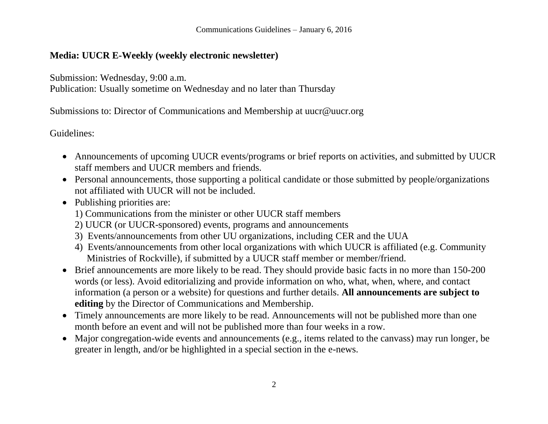## **Media: UUCR E-Weekly (weekly electronic newsletter)**

Submission: Wednesday, 9:00 a.m.

Publication: Usually sometime on Wednesday and no later than Thursday

Submissions to: Director of Communications and Membership at uucr@uucr.org

- Announcements of upcoming UUCR events/programs or brief reports on activities, and submitted by UUCR staff members and UUCR members and friends.
- Personal announcements, those supporting a political candidate or those submitted by people/organizations not affiliated with UUCR will not be included.
- Publishing priorities are:
	- 1) Communications from the minister or other UUCR staff members
	- 2) UUCR (or UUCR-sponsored) events, programs and announcements
	- 3) Events/announcements from other UU organizations, including CER and the UUA
	- 4) Events/announcements from other local organizations with which UUCR is affiliated (e.g. Community Ministries of Rockville), if submitted by a UUCR staff member or member/friend.
- Brief announcements are more likely to be read. They should provide basic facts in no more than 150-200 words (or less). Avoid editorializing and provide information on who, what, when, where, and contact information (a person or a website) for questions and further details. **All announcements are subject to editing** by the Director of Communications and Membership.
- Timely announcements are more likely to be read. Announcements will not be published more than one month before an event and will not be published more than four weeks in a row.
- Major congregation-wide events and announcements (e.g., items related to the canvass) may run longer, be greater in length, and/or be highlighted in a special section in the e-news.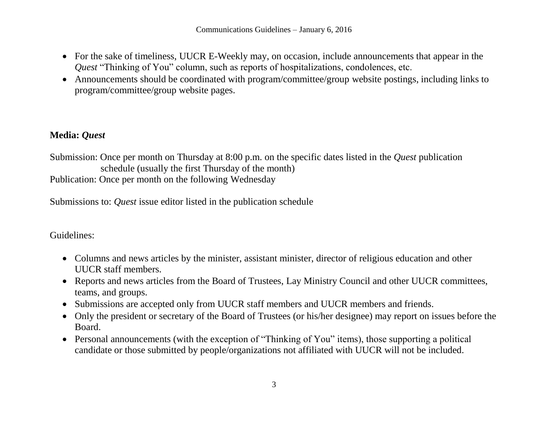- For the sake of timeliness, UUCR E-Weekly may, on occasion, include announcements that appear in the *Quest* "Thinking of You" column, such as reports of hospitalizations, condolences, etc.
- Announcements should be coordinated with program/committee/group website postings, including links to program/committee/group website pages.

## **Media:** *Quest*

Submission: Once per month on Thursday at 8:00 p.m. on the specific dates listed in the *Quest* publication schedule (usually the first Thursday of the month)

Publication: Once per month on the following Wednesday

Submissions to: *Quest* issue editor listed in the publication schedule

- Columns and news articles by the minister, assistant minister, director of religious education and other UUCR staff members.
- Reports and news articles from the Board of Trustees, Lay Ministry Council and other UUCR committees, teams, and groups.
- Submissions are accepted only from UUCR staff members and UUCR members and friends.
- Only the president or secretary of the Board of Trustees (or his/her designee) may report on issues before the Board.
- Personal announcements (with the exception of "Thinking of You" items), those supporting a political candidate or those submitted by people/organizations not affiliated with UUCR will not be included.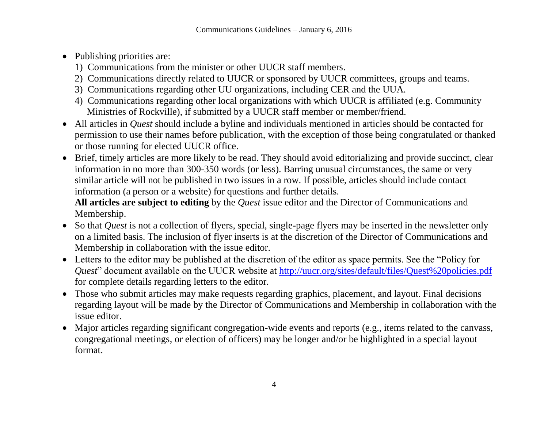- Publishing priorities are:
	- 1) Communications from the minister or other UUCR staff members.
	- 2) Communications directly related to UUCR or sponsored by UUCR committees, groups and teams.
	- 3) Communications regarding other UU organizations, including CER and the UUA.
	- 4) Communications regarding other local organizations with which UUCR is affiliated (e.g. Community Ministries of Rockville), if submitted by a UUCR staff member or member/friend.
- All articles in *Quest* should include a byline and individuals mentioned in articles should be contacted for permission to use their names before publication, with the exception of those being congratulated or thanked or those running for elected UUCR office.
- Brief, timely articles are more likely to be read. They should avoid editorializing and provide succinct, clear information in no more than 300-350 words (or less). Barring unusual circumstances, the same or very similar article will not be published in two issues in a row. If possible, articles should include contact information (a person or a website) for questions and further details.

**All articles are subject to editing** by the *Quest* issue editor and the Director of Communications and Membership.

- So that *Quest* is not a collection of flyers, special, single-page flyers may be inserted in the newsletter only on a limited basis. The inclusion of flyer inserts is at the discretion of the Director of Communications and Membership in collaboration with the issue editor.
- Letters to the editor may be published at the discretion of the editor as space permits. See the "Policy for *Quest*" document available on the UUCR website at <http://uucr.org/sites/default/files/Quest%20policies.pdf> for complete details regarding letters to the editor.
- Those who submit articles may make requests regarding graphics, placement, and layout. Final decisions regarding layout will be made by the Director of Communications and Membership in collaboration with the issue editor.
- Major articles regarding significant congregation-wide events and reports (e.g., items related to the canvass, congregational meetings, or election of officers) may be longer and/or be highlighted in a special layout format.